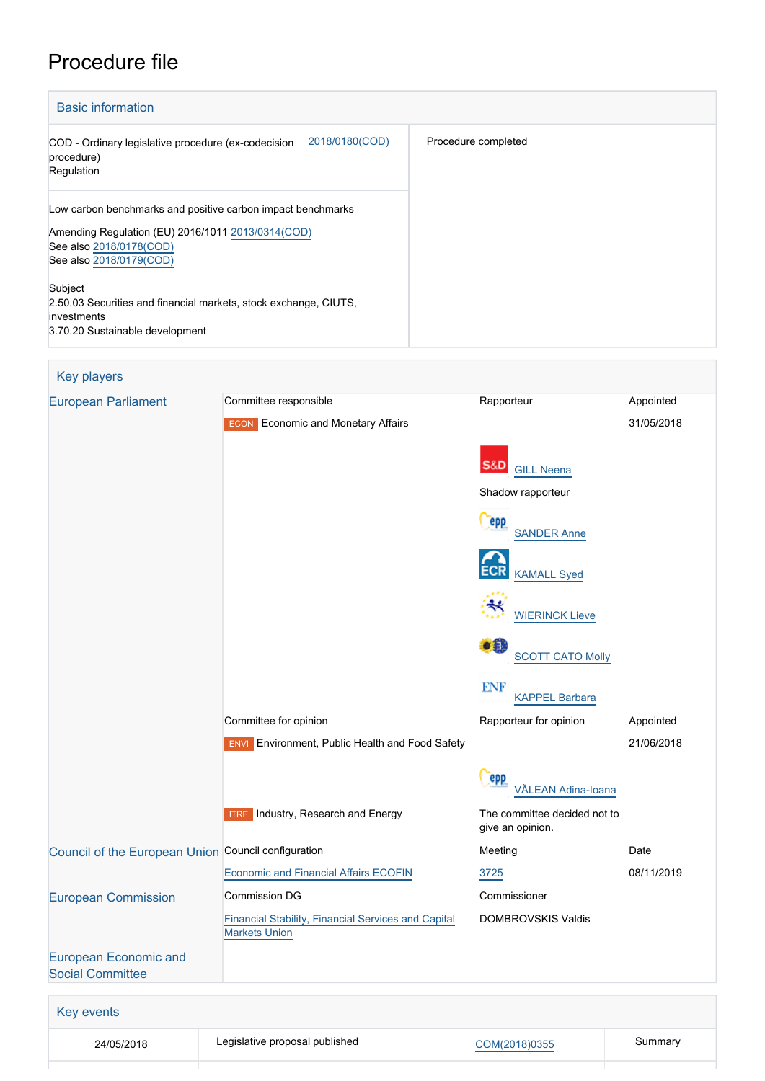# Procedure file

| <b>Basic information</b>                                                                                                                                                |                     |
|-------------------------------------------------------------------------------------------------------------------------------------------------------------------------|---------------------|
| 2018/0180(COD)<br>COD - Ordinary legislative procedure (ex-codecision<br>procedure)<br>Regulation                                                                       | Procedure completed |
| Low carbon benchmarks and positive carbon impact benchmarks<br>Amending Regulation (EU) 2016/1011 2013/0314 (COD)<br>See also 2018/0178(COD)<br>See also 2018/0179(COD) |                     |
| Subject<br>2.50.03 Securities and financial markets, stock exchange, CIUTS,<br>investments<br>3.70.20 Sustainable development                                           |                     |

| Key players                                                                        |                                                        |                                                  |            |
|------------------------------------------------------------------------------------|--------------------------------------------------------|--------------------------------------------------|------------|
| <b>European Parliament</b>                                                         | Committee responsible                                  | Rapporteur                                       | Appointed  |
|                                                                                    | <b>Economic and Monetary Affairs</b><br><b>ECON</b>    |                                                  | 31/05/2018 |
|                                                                                    |                                                        | S&D<br><b>GILL Neena</b>                         |            |
|                                                                                    |                                                        | Shadow rapporteur                                |            |
|                                                                                    |                                                        | epp<br><b>SANDER Anne</b>                        |            |
|                                                                                    |                                                        | <b>KAMALL Syed</b>                               |            |
|                                                                                    |                                                        | <b>WIERINCK Lieve</b>                            |            |
|                                                                                    |                                                        | $\bullet$<br><b>SCOTT CATO Molly</b>             |            |
|                                                                                    |                                                        | <b>ENF</b><br><b>KAPPEL Barbara</b>              |            |
|                                                                                    | Committee for opinion                                  | Rapporteur for opinion                           | Appointed  |
|                                                                                    | <b>ENVI</b> Environment, Public Health and Food Safety |                                                  | 21/06/2018 |
|                                                                                    |                                                        | epp<br>VĀLEAN Adina-Ioana                        |            |
|                                                                                    | <b>ITRE</b> Industry, Research and Energy              | The committee decided not to<br>give an opinion. |            |
| Council of the European Union Council configuration                                |                                                        | Meeting                                          | Date       |
|                                                                                    | <b>Economic and Financial Affairs ECOFIN</b>           | 3725                                             | 08/11/2019 |
| <b>European Commission</b>                                                         | Commission DG                                          | Commissioner                                     |            |
| <b>Financial Stability, Financial Services and Capital</b><br><b>Markets Union</b> |                                                        | DOMBROVSKIS Valdis                               |            |
| <b>European Economic and</b><br><b>Social Committee</b>                            |                                                        |                                                  |            |
|                                                                                    |                                                        |                                                  |            |
| Key events                                                                         |                                                        |                                                  |            |
| 24/05/2018                                                                         | Legislative proposal published                         | COM(2018)0355                                    | Summary    |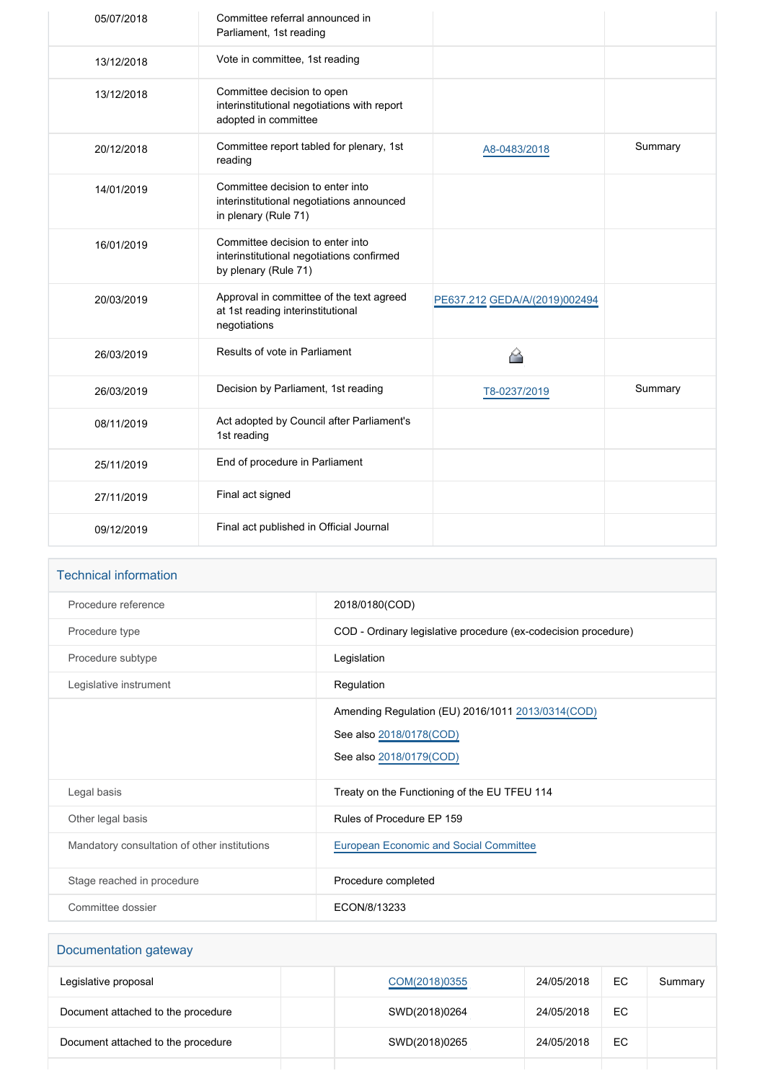| 05/07/2018 | Committee referral announced in<br>Parliament, 1st reading                                            |                               |         |
|------------|-------------------------------------------------------------------------------------------------------|-------------------------------|---------|
| 13/12/2018 | Vote in committee, 1st reading                                                                        |                               |         |
| 13/12/2018 | Committee decision to open<br>interinstitutional negotiations with report<br>adopted in committee     |                               |         |
| 20/12/2018 | Committee report tabled for plenary, 1st<br>reading                                                   | A8-0483/2018                  | Summary |
| 14/01/2019 | Committee decision to enter into<br>interinstitutional negotiations announced<br>in plenary (Rule 71) |                               |         |
| 16/01/2019 | Committee decision to enter into<br>interinstitutional negotiations confirmed<br>by plenary (Rule 71) |                               |         |
| 20/03/2019 | Approval in committee of the text agreed<br>at 1st reading interinstitutional<br>negotiations         | PE637.212 GEDA/A/(2019)002494 |         |
| 26/03/2019 | Results of vote in Parliament                                                                         | 谷                             |         |
| 26/03/2019 | Decision by Parliament, 1st reading                                                                   | T8-0237/2019                  | Summary |
| 08/11/2019 | Act adopted by Council after Parliament's<br>1st reading                                              |                               |         |
| 25/11/2019 | End of procedure in Parliament                                                                        |                               |         |
| 27/11/2019 | Final act signed                                                                                      |                               |         |
| 09/12/2019 | Final act published in Official Journal                                                               |                               |         |

| <b>Technical information</b>                 |                                                                                                          |  |  |
|----------------------------------------------|----------------------------------------------------------------------------------------------------------|--|--|
| Procedure reference                          | 2018/0180(COD)                                                                                           |  |  |
| Procedure type                               | COD - Ordinary legislative procedure (ex-codecision procedure)                                           |  |  |
| Procedure subtype                            | Legislation                                                                                              |  |  |
| Legislative instrument                       | Regulation                                                                                               |  |  |
|                                              | Amending Regulation (EU) 2016/1011 2013/0314 (COD)<br>See also 2018/0178(COD)<br>See also 2018/0179(COD) |  |  |
| Legal basis                                  | Treaty on the Functioning of the EU TFEU 114                                                             |  |  |
| Other legal basis                            | Rules of Procedure EP 159                                                                                |  |  |
| Mandatory consultation of other institutions | <b>European Economic and Social Committee</b>                                                            |  |  |
| Stage reached in procedure                   | Procedure completed                                                                                      |  |  |
| Committee dossier                            | ECON/8/13233                                                                                             |  |  |

| Documentation gateway              |               |            |     |         |
|------------------------------------|---------------|------------|-----|---------|
| Legislative proposal               | COM(2018)0355 | 24/05/2018 | EC  | Summary |
| Document attached to the procedure | SWD(2018)0264 | 24/05/2018 | EC. |         |
| Document attached to the procedure | SWD(2018)0265 | 24/05/2018 | EC. |         |
|                                    |               |            |     |         |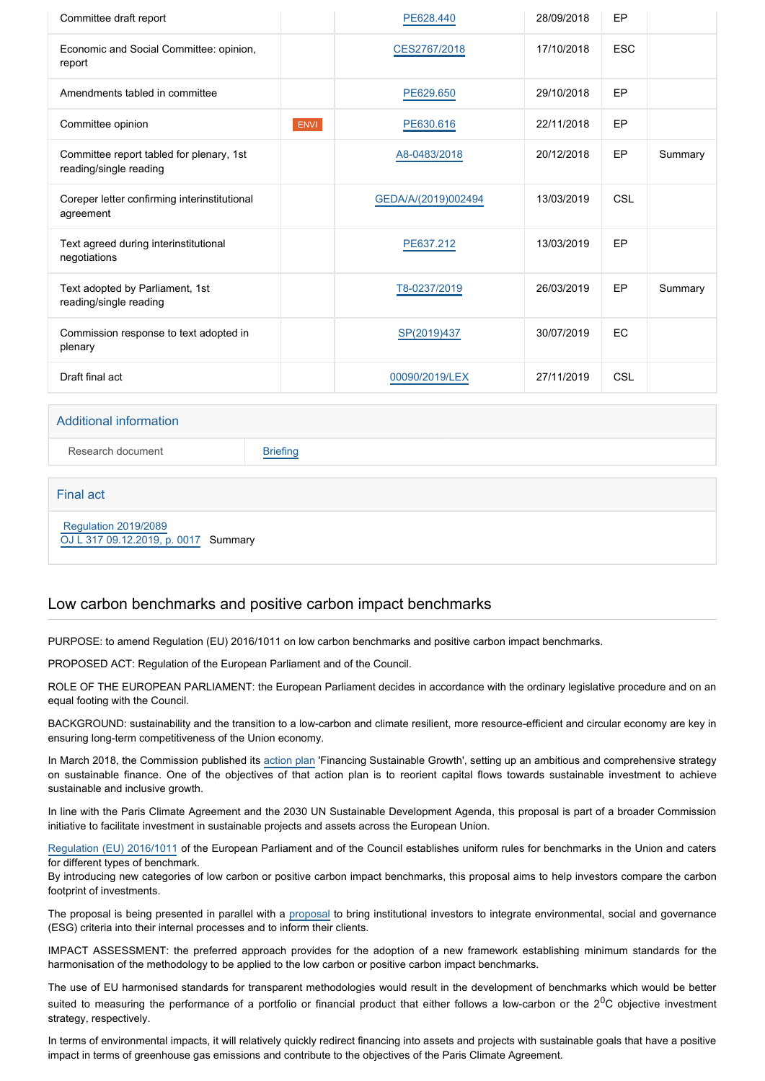| Committee draft report                                             |      | PE628.440           | 28/09/2018 | EP         |         |
|--------------------------------------------------------------------|------|---------------------|------------|------------|---------|
| Economic and Social Committee: opinion,<br>report                  |      | CES2767/2018        | 17/10/2018 | <b>ESC</b> |         |
| Amendments tabled in committee                                     |      | PE629.650           | 29/10/2018 | EP         |         |
| Committee opinion                                                  | ENVI | PE630.616           | 22/11/2018 | EP         |         |
| Committee report tabled for plenary, 1st<br>reading/single reading |      | A8-0483/2018        | 20/12/2018 | EP         | Summary |
| Coreper letter confirming interinstitutional<br>agreement          |      | GEDA/A/(2019)002494 | 13/03/2019 | CSL        |         |
| Text agreed during interinstitutional<br>negotiations              |      | PE637.212           | 13/03/2019 | EP         |         |
| Text adopted by Parliament, 1st<br>reading/single reading          |      | T8-0237/2019        | 26/03/2019 | EP         | Summary |
| Commission response to text adopted in<br>plenary                  |      | SP(2019)437         | 30/07/2019 | EC         |         |
| Draft final act                                                    |      | 00090/2019/LEX      | 27/11/2019 | CSL        |         |
| <b>Additional information</b>                                      |      |                     |            |            |         |

Research document [Briefing](http://www.europarl.europa.eu/thinktank/en/document.html?reference=EPRS_BRI(2019)640135)

Final act

 [Regulation 2019/2089](https://eur-lex.europa.eu/smartapi/cgi/sga_doc?smartapi!celexplus!prod!CELEXnumdoc&lg=EN&numdoc=32019R2089) [OJ L 317 09.12.2019, p. 0017](https://eur-lex.europa.eu/legal-content/EN/TXT/?uri=OJ:L:2019:317:TOC) Summary

# Low carbon benchmarks and positive carbon impact benchmarks

PURPOSE: to amend Regulation (EU) 2016/1011 on low carbon benchmarks and positive carbon impact benchmarks.

PROPOSED ACT: Regulation of the European Parliament and of the Council.

ROLE OF THE EUROPEAN PARLIAMENT: the European Parliament decides in accordance with the ordinary legislative procedure and on an equal footing with the Council.

BACKGROUND: sustainability and the transition to a low-carbon and climate resilient, more resource-efficient and circular economy are key in ensuring long-term competitiveness of the Union economy.

In March 2018, the Commission published its [action plan](https://eur-lex.europa.eu/legal-content/EN/TXT/?qid=1530875127663&uri=CELEX:52018DC0097) 'Financing Sustainable Growth', setting up an ambitious and comprehensive strategy on sustainable finance. One of the objectives of that action plan is to reorient capital flows towards sustainable investment to achieve sustainable and inclusive growth.

In line with the Paris Climate Agreement and the 2030 UN Sustainable Development Agenda, this proposal is part of a broader Commission initiative to facilitate investment in sustainable projects and assets across the European Union.

[Regulation \(EU\) 2016/1011](https://eur-lex.europa.eu/legal-content/EN/TXT/?qid=1530875231512&uri=CELEX:02016R1011-20160629) of the European Parliament and of the Council establishes uniform rules for benchmarks in the Union and caters for different types of benchmark.

By introducing new categories of low carbon or positive carbon impact benchmarks, this proposal aims to help investors compare the carbon footprint of investments.

The proposal is being presented in parallel with a [proposal](http://www.europarl.europa.eu/oeil/popups/ficheprocedure.do?reference=2018/0179(COD)&l=en) to bring institutional investors to integrate environmental, social and governance (ESG) criteria into their internal processes and to inform their clients.

IMPACT ASSESSMENT: the preferred approach provides for the adoption of a new framework establishing minimum standards for the harmonisation of the methodology to be applied to the low carbon or positive carbon impact benchmarks.

The use of EU harmonised standards for transparent methodologies would result in the development of benchmarks which would be better suited to measuring the performance of a portfolio or financial product that either follows a low-carbon or the  $2^0C$  objective investment strategy, respectively.

In terms of environmental impacts, it will relatively quickly redirect financing into assets and projects with sustainable goals that have a positive impact in terms of greenhouse gas emissions and contribute to the objectives of the Paris Climate Agreement.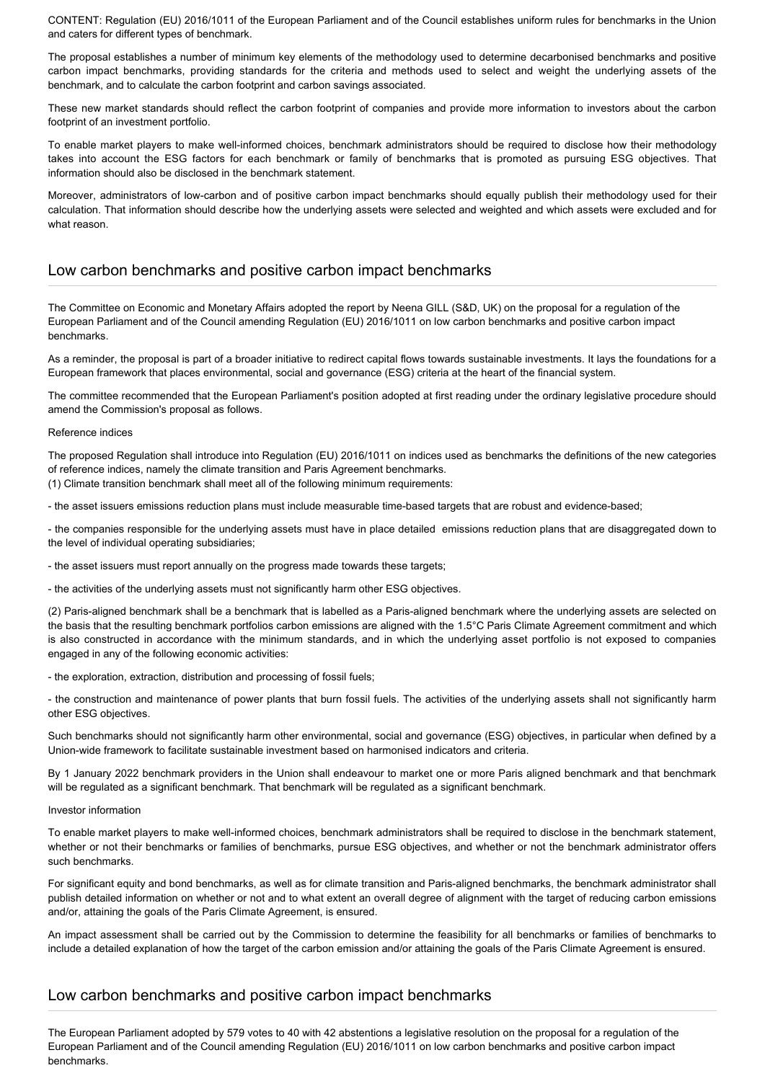CONTENT: Regulation (EU) 2016/1011 of the European Parliament and of the Council establishes uniform rules for benchmarks in the Union and caters for different types of benchmark.

The proposal establishes a number of minimum key elements of the methodology used to determine decarbonised benchmarks and positive carbon impact benchmarks, providing standards for the criteria and methods used to select and weight the underlying assets of the benchmark, and to calculate the carbon footprint and carbon savings associated.

These new market standards should reflect the carbon footprint of companies and provide more information to investors about the carbon footprint of an investment portfolio.

To enable market players to make well-informed choices, benchmark administrators should be required to disclose how their methodology takes into account the ESG factors for each benchmark or family of benchmarks that is promoted as pursuing ESG objectives. That information should also be disclosed in the benchmark statement.

Moreover, administrators of low-carbon and of positive carbon impact benchmarks should equally publish their methodology used for their calculation. That information should describe how the underlying assets were selected and weighted and which assets were excluded and for what reason.

# Low carbon benchmarks and positive carbon impact benchmarks

The Committee on Economic and Monetary Affairs adopted the report by Neena GILL (S&D, UK) on the proposal for a regulation of the European Parliament and of the Council amending Regulation (EU) 2016/1011 on low carbon benchmarks and positive carbon impact benchmarks.

As a reminder, the proposal is part of a broader initiative to redirect capital flows towards sustainable investments. It lays the foundations for a European framework that places environmental, social and governance (ESG) criteria at the heart of the financial system.

The committee recommended that the European Parliament's position adopted at first reading under the ordinary legislative procedure should amend the Commission's proposal as follows.

## Reference indices

The proposed Regulation shall introduce into Regulation (EU) 2016/1011 on indices used as benchmarks the definitions of the new categories of reference indices, namely the climate transition and Paris Agreement benchmarks.

(1) Climate transition benchmark shall meet all of the following minimum requirements:

- the asset issuers emissions reduction plans must include measurable time-based targets that are robust and evidence-based;

- the companies responsible for the underlying assets must have in place detailed emissions reduction plans that are disaggregated down to the level of individual operating subsidiaries;

- the asset issuers must report annually on the progress made towards these targets;

- the activities of the underlying assets must not significantly harm other ESG objectives.

(2) Paris-aligned benchmark shall be a benchmark that is labelled as a Paris-aligned benchmark where the underlying assets are selected on the basis that the resulting benchmark portfolios carbon emissions are aligned with the 1.5°C Paris Climate Agreement commitment and which is also constructed in accordance with the minimum standards, and in which the underlying asset portfolio is not exposed to companies engaged in any of the following economic activities:

- the exploration, extraction, distribution and processing of fossil fuels;

- the construction and maintenance of power plants that burn fossil fuels. The activities of the underlying assets shall not significantly harm other ESG objectives.

Such benchmarks should not significantly harm other environmental, social and governance (ESG) objectives, in particular when defined by a Union-wide framework to facilitate sustainable investment based on harmonised indicators and criteria.

By 1 January 2022 benchmark providers in the Union shall endeavour to market one or more Paris aligned benchmark and that benchmark will be regulated as a significant benchmark. That benchmark will be regulated as a significant benchmark.

Investor information

To enable market players to make well-informed choices, benchmark administrators shall be required to disclose in the benchmark statement, whether or not their benchmarks or families of benchmarks, pursue ESG objectives, and whether or not the benchmark administrator offers such benchmarks.

For significant equity and bond benchmarks, as well as for climate transition and Paris-aligned benchmarks, the benchmark administrator shall publish detailed information on whether or not and to what extent an overall degree of alignment with the target of reducing carbon emissions and/or, attaining the goals of the Paris Climate Agreement, is ensured.

An impact assessment shall be carried out by the Commission to determine the feasibility for all benchmarks or families of benchmarks to include a detailed explanation of how the target of the carbon emission and/or attaining the goals of the Paris Climate Agreement is ensured.

# Low carbon benchmarks and positive carbon impact benchmarks

The European Parliament adopted by 579 votes to 40 with 42 abstentions a legislative resolution on the proposal for a regulation of the European Parliament and of the Council amending Regulation (EU) 2016/1011 on low carbon benchmarks and positive carbon impact benchmarks.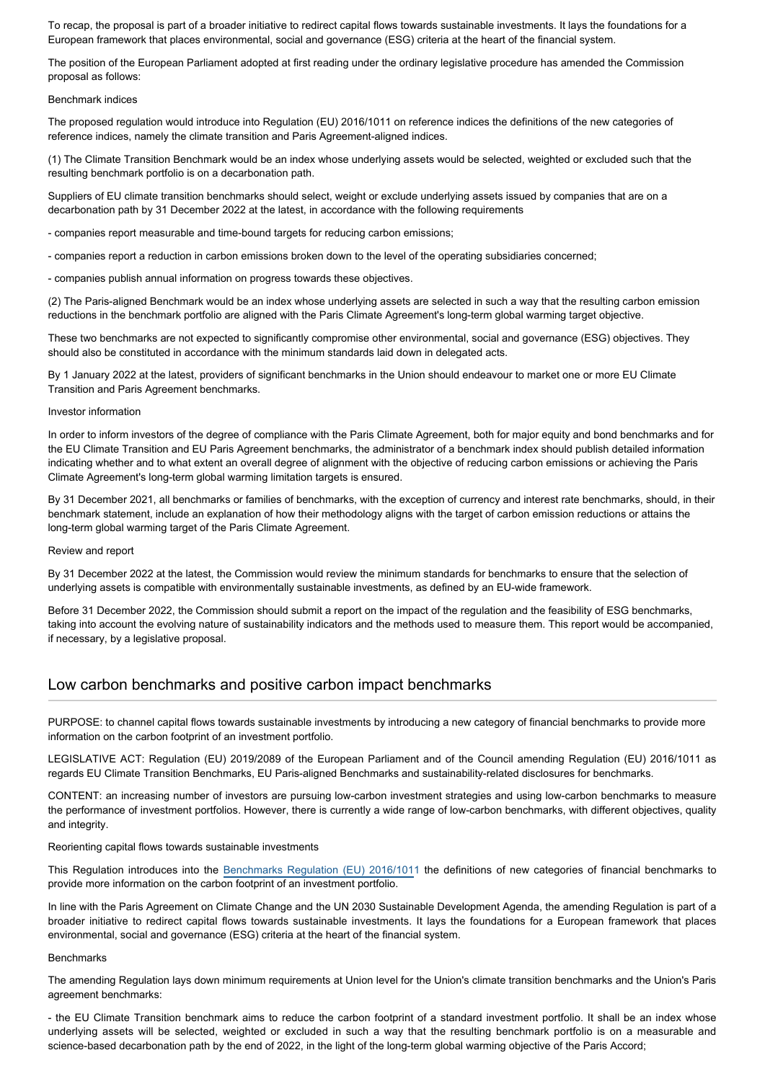To recap, the proposal is part of a broader initiative to redirect capital flows towards sustainable investments. It lays the foundations for a European framework that places environmental, social and governance (ESG) criteria at the heart of the financial system.

The position of the European Parliament adopted at first reading under the ordinary legislative procedure has amended the Commission proposal as follows:

#### Benchmark indices

The proposed regulation would introduce into Regulation (EU) 2016/1011 on reference indices the definitions of the new categories of reference indices, namely the climate transition and Paris Agreement-aligned indices.

(1) The Climate Transition Benchmark would be an index whose underlying assets would be selected, weighted or excluded such that the resulting benchmark portfolio is on a decarbonation path.

Suppliers of EU climate transition benchmarks should select, weight or exclude underlying assets issued by companies that are on a decarbonation path by 31 December 2022 at the latest, in accordance with the following requirements

- companies report measurable and time-bound targets for reducing carbon emissions;

- companies report a reduction in carbon emissions broken down to the level of the operating subsidiaries concerned;

- companies publish annual information on progress towards these objectives.

(2) The Paris-aligned Benchmark would be an index whose underlying assets are selected in such a way that the resulting carbon emission reductions in the benchmark portfolio are aligned with the Paris Climate Agreement's long-term global warming target objective.

These two benchmarks are not expected to significantly compromise other environmental, social and governance (ESG) objectives. They should also be constituted in accordance with the minimum standards laid down in delegated acts.

By 1 January 2022 at the latest, providers of significant benchmarks in the Union should endeavour to market one or more EU Climate Transition and Paris Agreement benchmarks.

## Investor information

In order to inform investors of the degree of compliance with the Paris Climate Agreement, both for major equity and bond benchmarks and for the EU Climate Transition and EU Paris Agreement benchmarks, the administrator of a benchmark index should publish detailed information indicating whether and to what extent an overall degree of alignment with the objective of reducing carbon emissions or achieving the Paris Climate Agreement's long-term global warming limitation targets is ensured.

By 31 December 2021, all benchmarks or families of benchmarks, with the exception of currency and interest rate benchmarks, should, in their benchmark statement, include an explanation of how their methodology aligns with the target of carbon emission reductions or attains the long-term global warming target of the Paris Climate Agreement.

### Review and report

By 31 December 2022 at the latest, the Commission would review the minimum standards for benchmarks to ensure that the selection of underlying assets is compatible with environmentally sustainable investments, as defined by an EU-wide framework.

Before 31 December 2022, the Commission should submit a report on the impact of the regulation and the feasibility of ESG benchmarks, taking into account the evolving nature of sustainability indicators and the methods used to measure them. This report would be accompanied, if necessary, by a legislative proposal.

## Low carbon benchmarks and positive carbon impact benchmarks

PURPOSE: to channel capital flows towards sustainable investments by introducing a new category of financial benchmarks to provide more information on the carbon footprint of an investment portfolio.

LEGISLATIVE ACT: Regulation (EU) 2019/2089 of the European Parliament and of the Council amending Regulation (EU) 2016/1011 as regards EU Climate Transition Benchmarks, EU Paris-aligned Benchmarks and sustainability-related disclosures for benchmarks.

CONTENT: an increasing number of investors are pursuing low-carbon investment strategies and using low-carbon benchmarks to measure the performance of investment portfolios. However, there is currently a wide range of low-carbon benchmarks, with different objectives, quality and integrity.

Reorienting capital flows towards sustainable investments

This Regulation introduces into the [Benchmarks Regulation \(EU\) 2016/101](https://oeil.secure.europarl.europa.eu/oeil/popups/ficheprocedure.do?reference=2013/0314(COD)&l=en)1 the definitions of new categories of financial benchmarks to provide more information on the carbon footprint of an investment portfolio.

In line with the Paris Agreement on Climate Change and the UN 2030 Sustainable Development Agenda, the amending Regulation is part of a broader initiative to redirect capital flows towards sustainable investments. It lays the foundations for a European framework that places environmental, social and governance (ESG) criteria at the heart of the financial system.

#### **Benchmarks**

The amending Regulation lays down minimum requirements at Union level for the Union's climate transition benchmarks and the Union's Paris agreement benchmarks:

- the EU Climate Transition benchmark aims to reduce the carbon footprint of a standard investment portfolio. It shall be an index whose underlying assets will be selected, weighted or excluded in such a way that the resulting benchmark portfolio is on a measurable and science-based decarbonation path by the end of 2022, in the light of the long-term global warming objective of the Paris Accord;